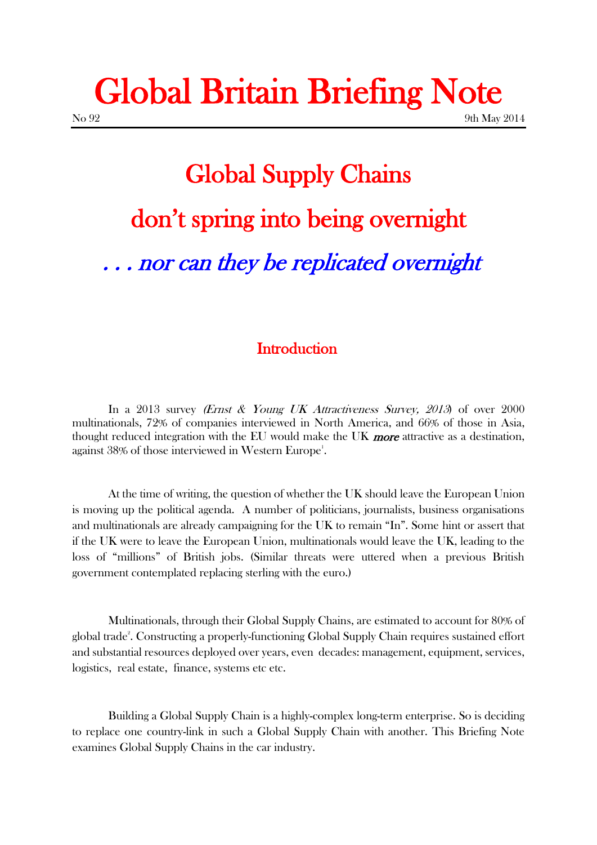# Global Britain Briefing Note  $N<sub>0</sub>$  92 9th May 2014

# Global Supply Chains don't spring into being overnight . . . nor can they be replicated overnight

## **Introduction**

In a 2013 survey (Ernst & Young UK Attractiveness Survey, 2013) of over 2000 multinationals, 72% of companies interviewed in North America, and 66% of those in Asia, thought reduced integration with the EU would make the UK more attractive as a destination, against  $38\%$  of those interviewed in Western Europe $^{\rm l}$ .

At the time of writing, the question of whether the UK should leave the European Union is moving up the political agenda. A number of politicians, journalists, business organisations and multinationals are already campaigning for the UK to remain "In". Some hint or assert that if the UK were to leave the European Union, multinationals would leave the UK, leading to the loss of "millions" of British jobs. (Similar threats were uttered when a previous British government contemplated replacing sterling with the euro.)

Multinationals, through their Global Supply Chains, are estimated to account for 80% of global trade<sup>2</sup>. Constructing a properly-functioning Global Supply Chain requires sustained effort and substantial resources deployed over years, even decades: management, equipment, services, logistics, real estate, finance, systems etc etc.

Building a Global Supply Chain is a highly-complex long-term enterprise. So is deciding to replace one country-link in such a Global Supply Chain with another. This Briefing Note examines Global Supply Chains in the car industry.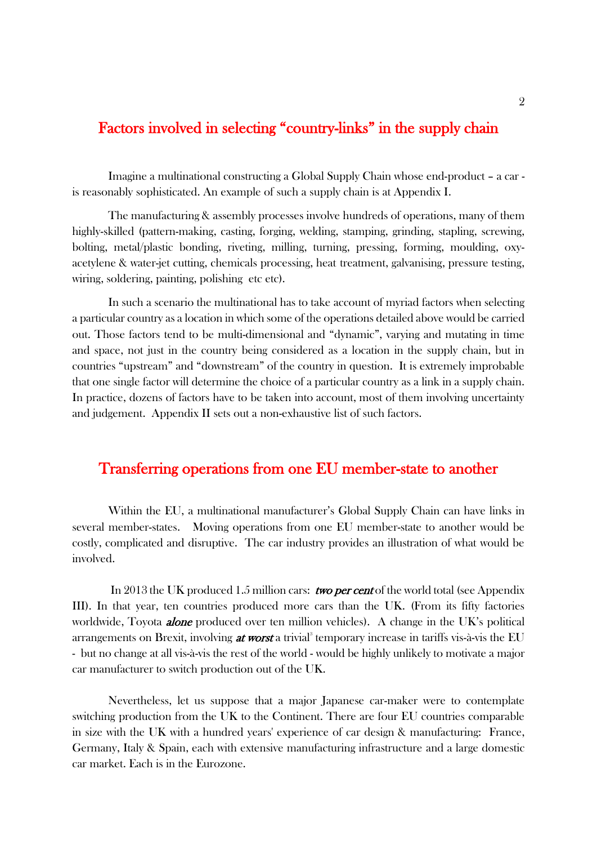## Factors involved in selecting "country-links" in the supply chain

Imagine a multinational constructing a Global Supply Chain whose end-product – a car is reasonably sophisticated. An example of such a supply chain is at Appendix I.

The manufacturing & assembly processes involve hundreds of operations, many of them highly-skilled (pattern-making, casting, forging, welding, stamping, grinding, stapling, screwing, bolting, metal/plastic bonding, riveting, milling, turning, pressing, forming, moulding, oxyacetylene & water-jet cutting, chemicals processing, heat treatment, galvanising, pressure testing, wiring, soldering, painting, polishing etc etc).

In such a scenario the multinational has to take account of myriad factors when selecting a particular country as a location in which some of the operations detailed above would be carried out. Those factors tend to be multi-dimensional and "dynamic", varying and mutating in time and space, not just in the country being considered as a location in the supply chain, but in countries "upstream" and "downstream" of the country in question. It is extremely improbable that one single factor will determine the choice of a particular country as a link in a supply chain. In practice, dozens of factors have to be taken into account, most of them involving uncertainty and judgement. Appendix II sets out a non-exhaustive list of such factors.

#### Transferring operations from one EU member-state to another

Within the EU, a multinational manufacturer's Global Supply Chain can have links in several member-states. Moving operations from one EU member-state to another would be costly, complicated and disruptive. The car industry provides an illustration of what would be involved.

In 2013 the UK produced 1.5 million cars: *two per cent* of the world total (see Appendix III). In that year, ten countries produced more cars than the UK. (From its fifty factories worldwide, Toyota **alone** produced over ten million vehicles). A change in the UK's political arrangements on Brexit, involving *at worst* a trivial<sup>3</sup> temporary increase in tariffs vis-à-vis the EU - but no change at all vis-à-vis the rest of the world - would be highly unlikely to motivate a major car manufacturer to switch production out of the UK.

Nevertheless, let us suppose that a major Japanese car-maker were to contemplate switching production from the UK to the Continent. There are four EU countries comparable in size with the UK with a hundred years' experience of car design & manufacturing: France, Germany, Italy & Spain, each with extensive manufacturing infrastructure and a large domestic car market. Each is in the Eurozone.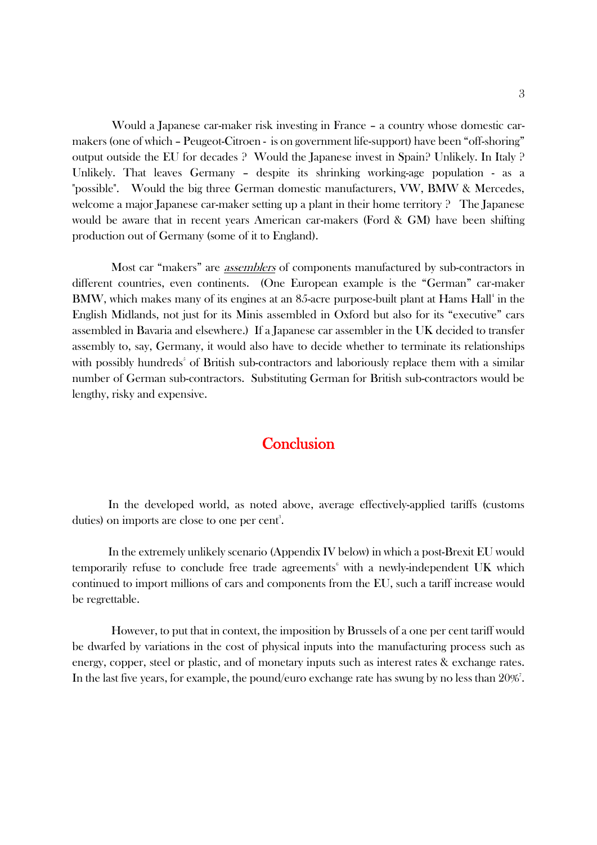Would a Japanese car-maker risk investing in France – a country whose domestic carmakers (one of which – Peugeot-Citroen - is on government life-support) have been "off-shoring" output outside the EU for decades ? Would the Japanese invest in Spain? Unlikely. In Italy ? Unlikely. That leaves Germany – despite its shrinking working-age population - as a "possible". Would the big three German domestic manufacturers, VW, BMW & Mercedes, welcome a major Japanese car-maker setting up a plant in their home territory ? The Japanese would be aware that in recent years American car-makers (Ford & GM) have been shifting production out of Germany (some of it to England).

Most car "makers" are *assemblers* of components manufactured by sub-contractors in different countries, even continents. (One European example is the "German" car-maker BMW, which makes many of its engines at an 85-acre purpose-built plant at Hams Hall<sup>4</sup> in the English Midlands, not just for its Minis assembled in Oxford but also for its "executive" cars assembled in Bavaria and elsewhere.) If a Japanese car assembler in the UK decided to transfer assembly to, say, Germany, it would also have to decide whether to terminate its relationships with possibly hundreds<sup>5</sup> of British sub-contractors and laboriously replace them with a similar number of German sub-contractors. Substituting German for British sub-contractors would be lengthy, risky and expensive.

## **Conclusion**

 In the developed world, as noted above, average effectively-applied tariffs (customs duties) on imports are close to one per cent<sup>3</sup>.

In the extremely unlikely scenario (Appendix IV below) in which a post-Brexit EU would temporarily refuse to conclude free trade agreements $\delta$  with a newly-independent UK which continued to import millions of cars and components from the EU, such a tariff increase would be regrettable.

However, to put that in context, the imposition by Brussels of a one per cent tariff would be dwarfed by variations in the cost of physical inputs into the manufacturing process such as energy, copper, steel or plastic, and of monetary inputs such as interest rates & exchange rates. In the last five years, for example, the pound/euro exchange rate has swung by no less than 20%<sup>7</sup>.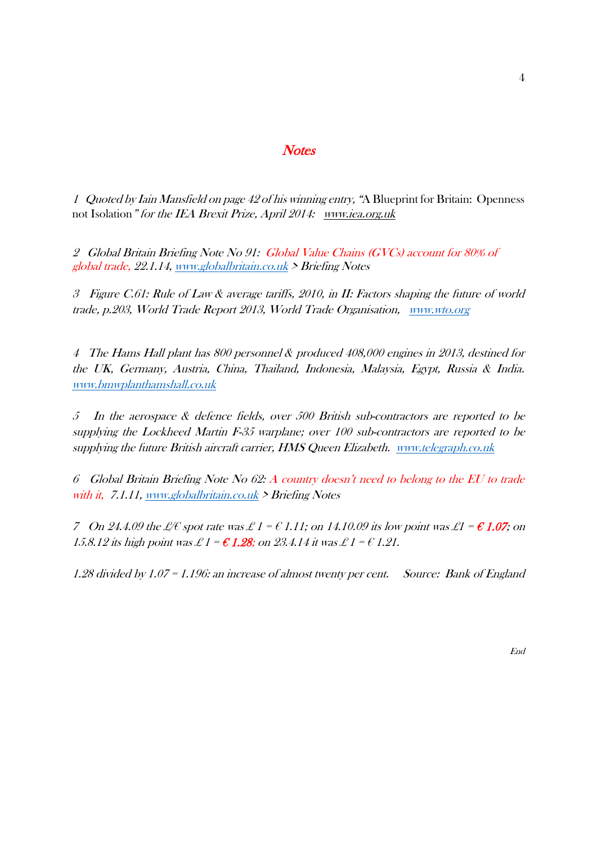#### **Notes**

1 Quoted by Iain Mansfield on page 42 of his winning entry, "A Blueprint for Britain: Openness not Isolation" for the IEA Brexit Prize, April 2014: [www.iea.org.uk](http://www.iea.org.uk/)

2 Global Britain Briefing Note No 91: Global Value Chains (GVCs) account for 80% of global trade, 22.1.14, [www.globalbritain.co.uk](http://www.globalbritain.co.uk/) > Briefing Notes

3 Figure C.61: Rule of Law & average tariffs, 2010, in II: Factors shaping the future of world trade, p.203, World Trade Report 2013, World Trade Organisation, [www.wto.org](http://www.wto.org/)

4 The Hams Hall plant has 800 personnel & produced 408,000 engines in 2013, destined for the UK, Germany, Austria, China, Thailand, Indonesia, Malaysia, Egypt, Russia & India. [www.bmwplanthamshall.co.uk](http://www.bmwplanthamshall.co.uk/)

5 In the aerospace & defence fields, over 500 British sub-contractors are reported to be supplying the Lockheed Martin F-35 warplane; over 100 sub-contractors are reported to be supplying the future British aircraft carrier, HMS Queen Elizabeth. [www.telegraph.co.uk](http://www.telegraph.co.uk/)

6 Global Britain Briefing Note No 62: A country doesn't need to belong to the EU to trade with it, 7.1.11, [www.globalbritain.co.uk](http://www.globalbritain.co.uk/) > Briefing Notes

7 On 24.4.09 the  $\mathcal{L}\ell$  spot rate was  $\mathcal{L}1 = \mathcal{C}1.11$ ; on 14.10.09 its low point was  $\mathcal{L}1 = \mathcal{C}1.07$ ; on 15.8.12 its high point was  $\mathcal{L}1 = \mathcal{C}1.28$ ; on 23.4.14 it was  $\mathcal{L}1 = \mathcal{C}1.21$ .

1.28 divided by 1.07 = 1.196: an increase of almost twenty per cent. Source: Bank of England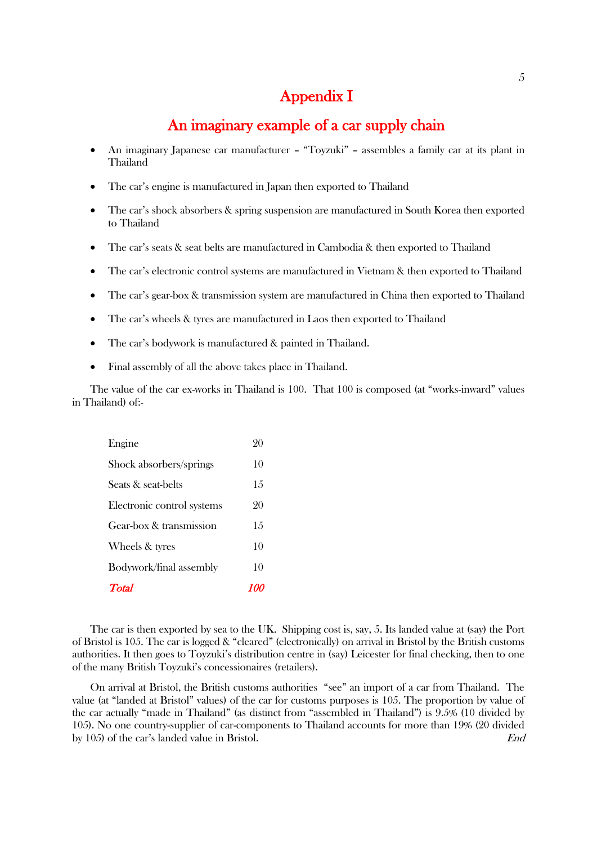# Appendix I

# An imaginary example of a car supply chain

- An imaginary Japanese car manufacturer "Toyzuki" assembles a family car at its plant in Thailand
- The car's engine is manufactured in Japan then exported to Thailand
- The car's shock absorbers & spring suspension are manufactured in South Korea then exported to Thailand
- The car's seats & seat belts are manufactured in Cambodia & then exported to Thailand
- The car's electronic control systems are manufactured in Vietnam & then exported to Thailand
- The car's gear-box & transmission system are manufactured in China then exported to Thailand
- The car's wheels & tyres are manufactured in Laos then exported to Thailand
- The car's bodywork is manufactured & painted in Thailand.
- Final assembly of all the above takes place in Thailand.

The value of the car ex-works in Thailand is 100. That 100 is composed (at "works-inward" values in Thailand) of:-

| <b>Total</b>               | 10 |
|----------------------------|----|
| Bodywork/final assembly    | 10 |
| Wheels & tyres             | 10 |
| Gear-box & transmission    | 15 |
| Electronic control systems | 20 |
| Seats & seat-belts         | 15 |
| Shock absorbers/springs    | 10 |
| Engine                     | 90 |

The car is then exported by sea to the UK. Shipping cost is, say, 5. Its landed value at (say) the Port of Bristol is 105. The car is logged & "cleared" (electronically) on arrival in Bristol by the British customs authorities. It then goes to Toyzuki's distribution centre in (say) Leicester for final checking, then to one of the many British Toyzuki's concessionaires (retailers).

On arrival at Bristol, the British customs authorities "see" an import of a car from Thailand. The value (at "landed at Bristol" values) of the car for customs purposes is 105. The proportion by value of the car actually "made in Thailand" (as distinct from "assembled in Thailand") is 9.5% (10 divided by 105). No one country-supplier of car-components to Thailand accounts for more than 19% (20 divided by 105) of the car's landed value in Bristol. End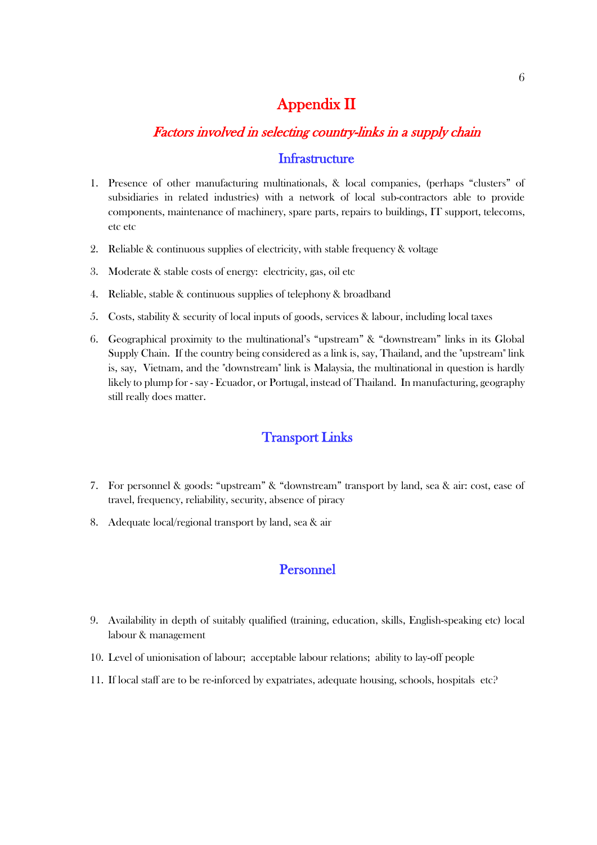# Appendix II

## Factors involved in selecting country-links in a supply chain

#### **Infrastructure**

- 1. Presence of other manufacturing multinationals, & local companies, (perhaps "clusters" of subsidiaries in related industries) with a network of local sub-contractors able to provide components, maintenance of machinery, spare parts, repairs to buildings, IT support, telecoms, etc etc
- 2. Reliable & continuous supplies of electricity, with stable frequency & voltage
- 3. Moderate & stable costs of energy: electricity, gas, oil etc
- 4. Reliable, stable & continuous supplies of telephony & broadband
- 5. Costs, stability & security of local inputs of goods, services & labour, including local taxes
- 6. Geographical proximity to the multinational's "upstream" & "downstream" links in its Global Supply Chain. If the country being considered as a link is, say, Thailand, and the "upstream" link is, say, Vietnam, and the "downstream" link is Malaysia, the multinational in question is hardly likely to plump for - say - Ecuador, or Portugal, instead of Thailand. In manufacturing, geography still really does matter.

#### Transport Links

- 7. For personnel & goods: "upstream" & "downstream" transport by land, sea & air: cost, ease of travel, frequency, reliability, security, absence of piracy
- 8. Adequate local/regional transport by land, sea & air

#### Personnel

- 9. Availability in depth of suitably qualified (training, education, skills, English-speaking etc) local labour & management
- 10. Level of unionisation of labour; acceptable labour relations; ability to lay-off people
- 11. If local staff are to be re-inforced by expatriates, adequate housing, schools, hospitals etc?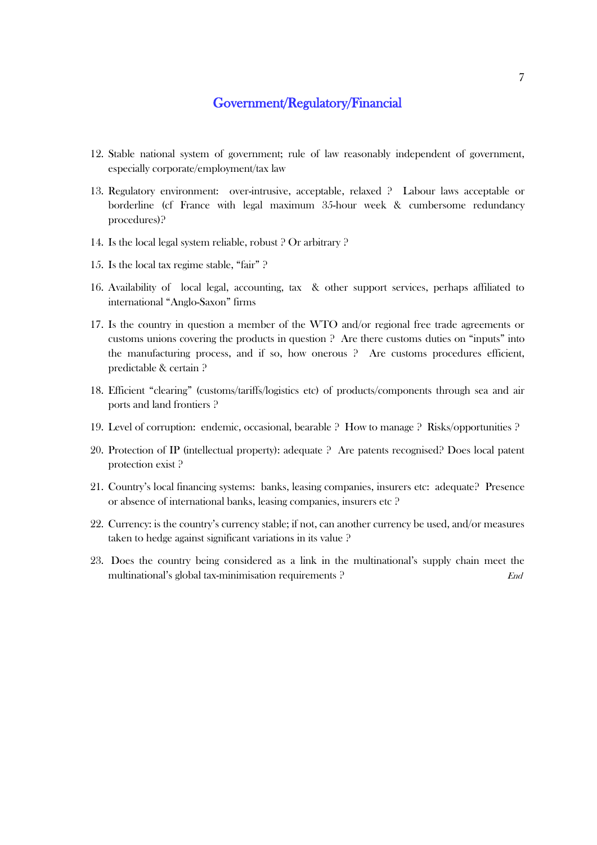#### Government/Regulatory/Financial

- 12. Stable national system of government; rule of law reasonably independent of government, especially corporate/employment/tax law
- 13. Regulatory environment: over-intrusive, acceptable, relaxed ? Labour laws acceptable or borderline (cf France with legal maximum 35-hour week & cumbersome redundancy procedures)?
- 14. Is the local legal system reliable, robust ? Or arbitrary ?
- 15. Is the local tax regime stable, "fair" ?
- 16. Availability of local legal, accounting, tax & other support services, perhaps affiliated to international "Anglo-Saxon" firms
- 17. Is the country in question a member of the WTO and/or regional free trade agreements or customs unions covering the products in question ? Are there customs duties on "inputs" into the manufacturing process, and if so, how onerous ? Are customs procedures efficient, predictable & certain ?
- 18. Efficient "clearing" (customs/tariffs/logistics etc) of products/components through sea and air ports and land frontiers ?
- 19. Level of corruption: endemic, occasional, bearable ? How to manage ? Risks/opportunities ?
- 20. Protection of IP (intellectual property): adequate ? Are patents recognised? Does local patent protection exist ?
- 21. Country's local financing systems: banks, leasing companies, insurers etc: adequate? Presence or absence of international banks, leasing companies, insurers etc ?
- 22. Currency: is the country's currency stable; if not, can another currency be used, and/or measures taken to hedge against significant variations in its value ?
- 23. Does the country being considered as a link in the multinational's supply chain meet the multinational's global tax-minimisation requirements ?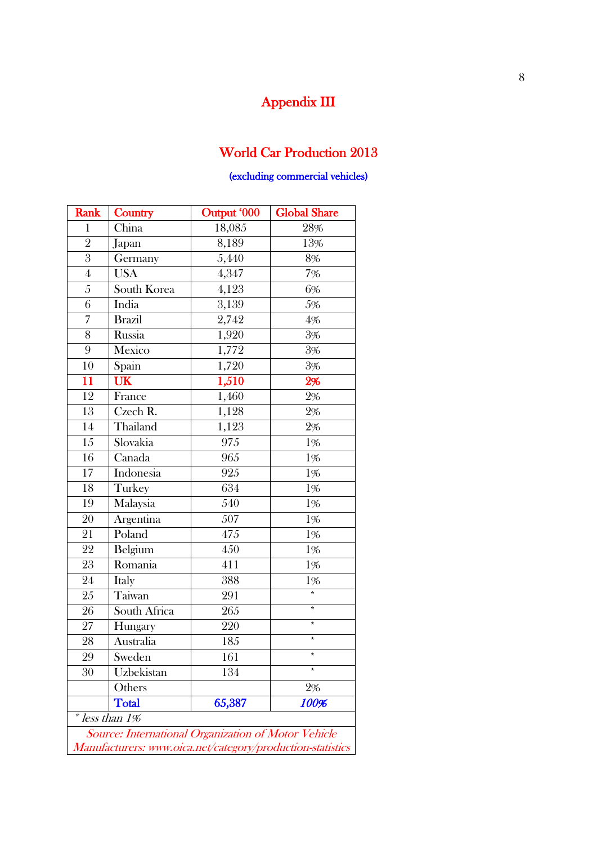# Appendix III

# World Car Production 2013

#### (excluding commercial vehicles)

| Rank                                                | Country                                                    | Output '000     | <b>Global Share</b> |  |
|-----------------------------------------------------|------------------------------------------------------------|-----------------|---------------------|--|
| $\mathbf{1}$                                        | China                                                      | 18,085          | 28%                 |  |
| $\overline{2}$                                      | Japan                                                      | 8,189<br>$13\%$ |                     |  |
| $\overline{3}$                                      | Germany                                                    | 5,440           | 8%                  |  |
| $\boldsymbol{4}$                                    | <b>USA</b>                                                 | 4,347           | $7\%$               |  |
| $\sqrt{5}$                                          | South Korea                                                | 4,123           | 6%                  |  |
| $\overline{6}$                                      | India                                                      | 3,139           | 5%                  |  |
| 7                                                   | <b>Brazil</b>                                              | 2,742           | 4%                  |  |
| 8                                                   | Russia                                                     | 1,920           | $3\%$               |  |
| 9                                                   | Mexico                                                     | 1,772           | 3%                  |  |
| 10                                                  | $S$ pain                                                   | 1,720           | 3%                  |  |
| 11                                                  | UK                                                         | 1,510           | 2%                  |  |
| 12                                                  | France                                                     | 1,460           | $2\%$               |  |
| $13\,$                                              | Czech R.                                                   | 1,128           | $2\%$               |  |
| 14                                                  | Thailand                                                   | 1,123           | 2%                  |  |
| $\overline{15}$                                     | Slovakia                                                   | 975             | 1%                  |  |
| 16                                                  | Canada                                                     | 965             | 1%                  |  |
| 17                                                  | Indonesia                                                  | 925             | 1%                  |  |
| 18                                                  | Turkey                                                     | 634             | 1%                  |  |
| 19                                                  | Malaysia                                                   | 540             | 1%                  |  |
| 20                                                  | Argentina                                                  | 507             | $1\%$               |  |
| 21                                                  | Poland                                                     | 475             | 1%                  |  |
| 22                                                  | Belgium                                                    | 450             | 1%                  |  |
| 23                                                  | Romania                                                    | 411             | 1%                  |  |
| 24                                                  | <b>Italy</b>                                               | 388             | 1%                  |  |
| 25                                                  | Taiwan                                                     | 291             |                     |  |
| ${\bf 26}$                                          | South Africa                                               | 265             | $\star$             |  |
| 27                                                  | Hungary                                                    | 220             | $\star$             |  |
| 28                                                  | Australia                                                  | 185             | $\star$             |  |
| 29                                                  | Sweden                                                     | 161             |                     |  |
| 30                                                  | Uzbekistan                                                 | 134             | ¥                   |  |
|                                                     | Others                                                     |                 | $2\%$               |  |
|                                                     | <b>Total</b>                                               | 65,387          | 100%                |  |
|                                                     | * less than 1%                                             |                 |                     |  |
| Source: International Organization of Motor Vehicle |                                                            |                 |                     |  |
|                                                     | Manufacturers: www.oica.net/category/production-statistics |                 |                     |  |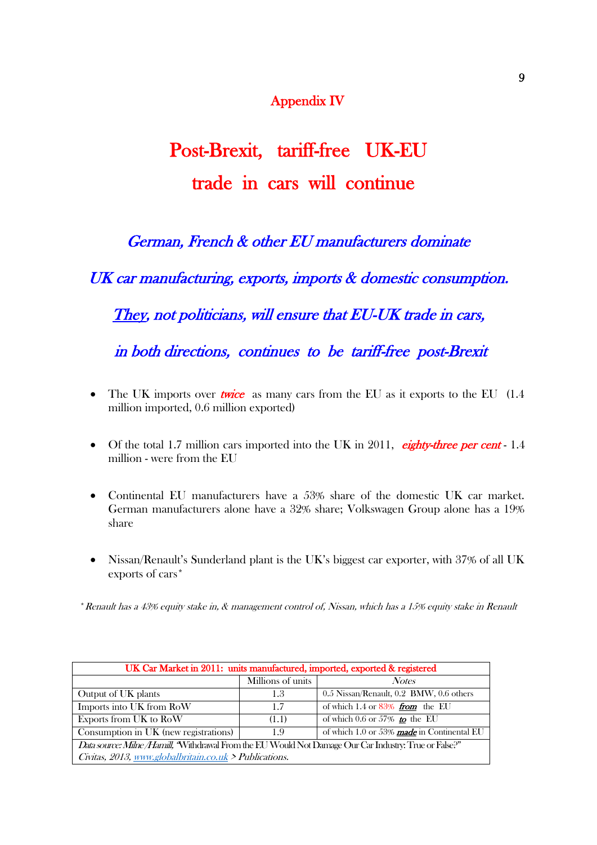# Appendix IV

# Post-Brexit, tariff-free UK-EU trade in cars will continue

German, French & other EU manufacturers dominate

UK car manufacturing, exports, imports & domestic consumption.

They, not politicians, will ensure that EU-UK trade in cars,

in both directions, continues to be tariff-free post-Brexit

- The UK imports over **twice** as many cars from the EU as it exports to the EU  $(1.4)$ million imported, 0.6 million exported)
- Of the total 1.7 million cars imported into the UK in 2011, eighty-three per cent 1.4 million - were from the EU
- Continental EU manufacturers have a 53% share of the domestic UK car market. German manufacturers alone have a 32% share; Volkswagen Group alone has a 19% share
- Nissan/Renault's Sunderland plant is the UK's biggest car exporter, with 37% of all UK exports of cars\*

\*Renault has a 43% equity stake in, & management control of, Nissan, which has a 15% equity stake in Renault

| UK Car Market in 2011: units manufactured, imported, exported & registered                             |                   |                                            |  |  |
|--------------------------------------------------------------------------------------------------------|-------------------|--------------------------------------------|--|--|
|                                                                                                        | Millions of units | <b>Notes</b>                               |  |  |
| Output of UK plants                                                                                    | 1.3               | 0.5 Nissan/Renault, 0.2 BMW, 0.6 others    |  |  |
| Imports into UK from RoW                                                                               | 1.7               | of which 1.4 or $83\%$ from the EU         |  |  |
| Exports from UK to RoW                                                                                 | (1.1)             | of which $0.6$ or 57% to the EU            |  |  |
| Consumption in UK (new registrations)                                                                  | 1.9               | of which 1.0 or 53% made in Continental EU |  |  |
| Data source: Milne /Hamill, "Withdrawal From the EU Would Not Damage Our Car Industry: True or False?" |                   |                                            |  |  |
| Civitas, 2013, www.globalbritain.co.uk > Publications.                                                 |                   |                                            |  |  |